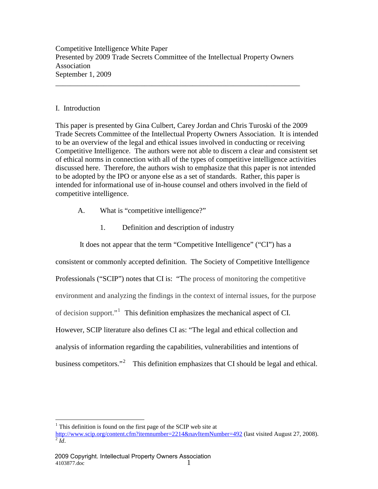Competitive Intelligence White Paper Presented by 2009 Trade Secrets Committee of the Intellectual Property Owners Association September 1, 2009

\_\_\_\_\_\_\_\_\_\_\_\_\_\_\_\_\_\_\_\_\_\_\_\_\_\_\_\_\_\_\_\_\_\_\_\_\_\_\_\_\_\_\_\_\_\_\_\_\_\_\_\_\_\_\_\_\_\_\_\_\_\_\_\_\_\_

## I. Introduction

This paper is presented by Gina Culbert, Carey Jordan and Chris Turoski of the 2009 Trade Secrets Committee of the Intellectual Property Owners Association. It is intended to be an overview of the legal and ethical issues involved in conducting or receiving Competitive Intelligence. The authors were not able to discern a clear and consistent set of ethical norms in connection with all of the types of competitive intelligence activities discussed here. Therefore, the authors wish to emphasize that this paper is not intended to be adopted by the IPO or anyone else as a set of standards. Rather, this paper is intended for informational use of in-house counsel and others involved in the field of competitive intelligence.

- A. What is "competitive intelligence?"
	- 1. Definition and description of industry

It does not appear that the term "Competitive Intelligence" ("CI") has a

consistent or commonly accepted definition. The Society of Competitive Intelligence Professionals ("SCIP") notes that CI is: "The process of monitoring the competitive environment and analyzing the findings in the context of internal issues, for the purpose of decision support."[1](#page-0-0) This definition emphasizes the mechanical aspect of CI. However, SCIP literature also defines CI as: "The legal and ethical collection and analysis of information regarding the capabilities, vulnerabilities and intentions of business competitors."<sup>[2](#page-0-1)</sup> This definition emphasizes that CI should be legal and ethical.

<sup>1</sup> This definition is found on the first page of the SCIP web site at

<span id="page-0-1"></span><span id="page-0-0"></span><http://www.scip.org/content.cfm?itemnumber=2214&navItemNumber=492> (last visited August 27, 2008). <sup>2</sup> *Id*.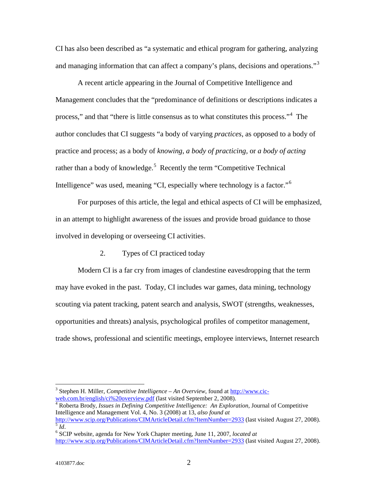CI has also been described as "a systematic and ethical program for gathering, analyzing and managing information that can affect a company's plans, decisions and operations."<sup>[3](#page-1-0)</sup>

A recent article appearing in the Journal of Competitive Intelligence and Management concludes that the "predominance of definitions or descriptions indicates a process," and that "there is little consensus as to what constitutes this process."<sup>[4](#page-1-1)</sup> The author concludes that CI suggests "a body of varying *practices*, as opposed to a body of practice and process; as a body of *knowing*, *a body of practicing,* or *a body of acting* rather than a body of knowledge.<sup>[5](#page-1-2)</sup> Recently the term "Competitive Technical Intelligence" was used, meaning "CI, especially where technology is a factor."<sup>[6](#page-1-3)</sup>

For purposes of this article, the legal and ethical aspects of CI will be emphasized, in an attempt to highlight awareness of the issues and provide broad guidance to those involved in developing or overseeing CI activities.

2. Types of CI practiced today

Modern CI is a far cry from images of clandestine eavesdropping that the term may have evoked in the past. Today, CI includes war games, data mining, technology scouting via patent tracking, patent search and analysis, SWOT (strengths, weaknesses, opportunities and threats) analysis, psychological profiles of competitor management, trade shows, professional and scientific meetings, employee interviews, Internet research

<span id="page-1-0"></span><sup>&</sup>lt;sup>3</sup> Stephen H. Miller, *Competitive Intelligence – An Overview*, found at <u>http://www.cic-web.com.br/english/ci%20overview.pdf</u> (last visited September 2, 2008).

<span id="page-1-1"></span><sup>&</sup>lt;sup>4</sup> Roberta Brody, *Issues in Defining Competitive Intelligence: An Exploration*, Journal of Competitive Intelligence and Management Vol. 4, No. 3 (2008) at 13, *also found at*<br>http://www.scip.org/Publications/CIMArticleDetail.cfm?ItemNumber=2933 (last visited August 27, 2008).

<span id="page-1-2"></span><sup>&</sup>lt;sup>5</sup> *Id.*<br><sup>6</sup> SCIP website. agenda for New York Chapter meeting, June 11, 2007, *located at* 

<span id="page-1-3"></span><http://www.scip.org/Publications/CIMArticleDetail.cfm?ItemNumber=2933> (last visited August 27, 2008).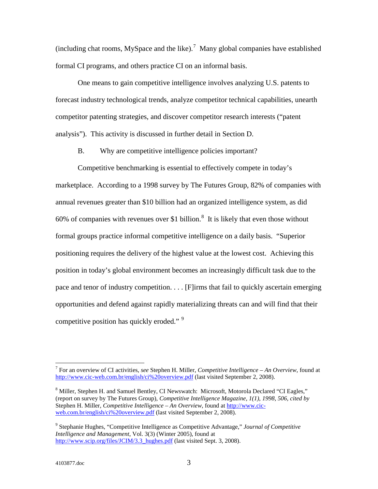(including chat rooms, MySpace and the like).<sup>[7](#page-2-0)</sup> Many global companies have established formal CI programs, and others practice CI on an informal basis.

One means to gain competitive intelligence involves analyzing U.S. patents to forecast industry technological trends, analyze competitor technical capabilities, unearth competitor patenting strategies, and discover competitor research interests ("patent analysis"). This activity is discussed in further detail in Section D.

B. Why are competitive intelligence policies important?

Competitive benchmarking is essential to effectively compete in today's marketplace. According to a 1998 survey by The Futures Group, 82% of companies with annual revenues greater than \$10 billion had an organized intelligence system, as did 60% of companies with revenues over \$1 billion. $\frac{8}{3}$  $\frac{8}{3}$  $\frac{8}{3}$  It is likely that even those without formal groups practice informal competitive intelligence on a daily basis. "Superior positioning requires the delivery of the highest value at the lowest cost. Achieving this position in today's global environment becomes an increasingly difficult task due to the pace and tenor of industry competition. . . . [F]irms that fail to quickly ascertain emerging opportunities and defend against rapidly materializing threats can and will find that their competitive position has quickly eroded."<sup>[9](#page-2-2)</sup>

<span id="page-2-0"></span> <sup>7</sup> For an overview of CI activities, *see* Stephen H. Miller, *Competitive Intelligence – An Overview*, found at <http://www.cic-web.com.br/english/ci%20overview.pdf> (last visited September 2, 2008).

<span id="page-2-1"></span><sup>&</sup>lt;sup>8</sup> Miller, Stephen H. and Samuel Bentley, CI Newswatch: Microsoft, Motorola Declared "CI Eagles," (report on survey by The Futures Group), *Competitive Intelligence Magazine, 1(1), 1998, 506, cited by* Stephen H. Miller, *Competitive Intelligence – An Overview*, found at [http://www.cic](http://www.cic-web.com.br/english/ci%20overview.pdf)[web.com.br/english/ci%20overview.pdf](http://www.cic-web.com.br/english/ci%20overview.pdf) (last visited September 2, 2008).

<span id="page-2-2"></span><sup>9</sup> Stephanie Hughes, "Competitive Intelligence as Competitive Advantage," *Journal of Competitive Intelligence and Management*, Vol. 3(3) (Winter 2005), found at [http://www.scip.org/files/JCIM/3.3\\_hughes.pdf](http://www.scip.org/files/JCIM/3.3_hughes.pdf) (last visited Sept. 3, 2008).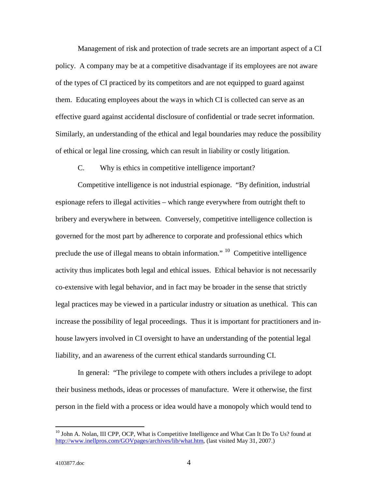Management of risk and protection of trade secrets are an important aspect of a CI policy. A company may be at a competitive disadvantage if its employees are not aware of the types of CI practiced by its competitors and are not equipped to guard against them. Educating employees about the ways in which CI is collected can serve as an effective guard against accidental disclosure of confidential or trade secret information. Similarly, an understanding of the ethical and legal boundaries may reduce the possibility of ethical or legal line crossing, which can result in liability or costly litigation.

C. Why is ethics in competitive intelligence important?

Competitive intelligence is not industrial espionage. "By definition, industrial espionage refers to illegal activities – which range everywhere from outright theft to bribery and everywhere in between. Conversely, competitive intelligence collection is governed for the most part by adherence to corporate and professional ethics which preclude the use of illegal means to obtain information."  $^{10}$  $^{10}$  $^{10}$  Competitive intelligence activity thus implicates both legal and ethical issues. Ethical behavior is not necessarily co-extensive with legal behavior, and in fact may be broader in the sense that strictly legal practices may be viewed in a particular industry or situation as unethical. This can increase the possibility of legal proceedings. Thus it is important for practitioners and inhouse lawyers involved in CI oversight to have an understanding of the potential legal liability, and an awareness of the current ethical standards surrounding CI.

In general: "The privilege to compete with others includes a privilege to adopt their business methods, ideas or processes of manufacture. Were it otherwise, the first person in the field with a process or idea would have a monopoly which would tend to

<span id="page-3-0"></span><sup>&</sup>lt;sup>10</sup> John A. Nolan, III CPP, OCP, What is Competitive Intelligence and What Can It Do To Us? found at [http://www.inellpros.com/GOVpages/archives/lib/what.htm,](http://www.inellpros.com/GOVpages/archives/lib/what.htm) (last visited May 31, 2007.)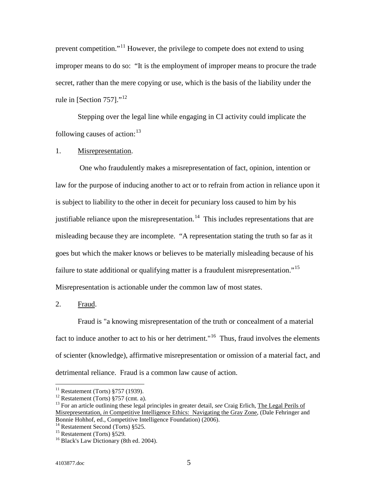prevent competition."[11](#page-4-0) However, the privilege to compete does not extend to using improper means to do so: "It is the employment of improper means to procure the trade secret, rather than the mere copying or use, which is the basis of the liability under the rule in [Section 757]."<sup>[12](#page-4-1)</sup>

Stepping over the legal line while engaging in CI activity could implicate the following causes of action:<sup>[13](#page-4-2)</sup>

### 1. Misrepresentation.

One who fraudulently makes a misrepresentation of fact, opinion, intention or law for the purpose of inducing another to act or to refrain from action in reliance upon it is subject to liability to the other in deceit for pecuniary loss caused to him by his justifiable reliance upon the misrepresentation.<sup>14</sup> This includes representations that are misleading because they are incomplete. "A representation stating the truth so far as it goes but which the maker knows or believes to be materially misleading because of his failure to state additional or qualifying matter is a fraudulent misrepresentation."<sup>15</sup> Misrepresentation is actionable under the common law of most states.

2. <u>Fraud</u>.

Fraud is "a knowing misrepresentation of the truth or concealment of a material fact to induce another to act to his or her detriment."<sup>[16](#page-4-5)</sup> Thus, fraud involves the elements of scienter (knowledge), affirmative misrepresentation or omission of a material fact, and detrimental reliance. Fraud is a common law cause of action.

<span id="page-4-2"></span>

<span id="page-4-1"></span><span id="page-4-0"></span><sup>&</sup>lt;sup>11</sup> Restatement (Torts) §757 (1939).<br><sup>12</sup> Restatement (Torts) §757 (cmt. a).<br><sup>13</sup> For an article outlining these legal principles in greater detail, *see* Craig Erlich, The Legal Perils of Misrepresentation, *in* Competitive Intelligence Ethics: Navigating the Gray Zone, (Dale Fehringer and Bonnie Hohhof, ed., Competitive Intelligence Foundation) (2006).<br><sup>14</sup> Restatement Second (Torts) §525.

<span id="page-4-5"></span><span id="page-4-4"></span><span id="page-4-3"></span><sup>&</sup>lt;sup>15</sup> Restatement (Torts) §529. <sup>16</sup> Black's Law Dictionary (8th ed. 2004).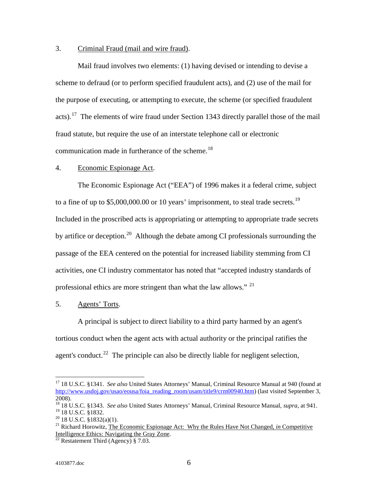### 3. Criminal Fraud (mail and wire fraud).

Mail fraud involves two elements: (1) having devised or intending to devise a scheme to defraud (or to perform specified fraudulent acts), and (2) use of the mail for the purpose of executing, or attempting to execute, the scheme (or specified fraudulent acts).<sup>[17](#page-5-0)</sup> The elements of wire fraud under Section 1343 directly parallel those of the mail fraud statute, but require the use of an interstate telephone call or electronic communication made in furtherance of the scheme.<sup>18</sup>

#### 4. Economic Espionage Act.

The Economic Espionage Act ("EEA") of 1996 makes it a federal crime, subject to a fine of up to \$5,000,000.00 or 10 years' imprisonment, to steal trade secrets.<sup>[19](#page-5-2)</sup> Included in the proscribed acts is appropriating or attempting to appropriate trade secrets by artifice or deception.<sup>[20](#page-5-3)</sup> Although the debate among CI professionals surrounding the passage of the EEA centered on the potential for increased liability stemming from CI activities, one CI industry commentator has noted that "accepted industry standards of professional ethics are more stringent than what the law allows." <sup>[21](#page-5-4)</sup>

#### 5. Agents' Torts.

A principal is subject to direct liability to a third party harmed by an agent's tortious conduct when the agent acts with actual authority or the principal ratifies the agent's conduct.<sup>[22](#page-5-5)</sup> The principle can also be directly liable for negligent selection,

<span id="page-5-0"></span> <sup>17</sup> 18 U.S.C. §1341. *See also* United States Attorneys' Manual, Criminal Resource Manual at 940 (found at [http://www.usdoj.gov/usao/eousa/foia\\_reading\\_room/usam/title9/crm00940.htm\)](http://www.usdoj.gov/usao/eousa/foia_reading_room/usam/title9/crm00940.htm) (last visited September 3, 2008).

<span id="page-5-1"></span><sup>18</sup> 18 U.S.C. §1343. *See also* United States Attorneys' Manual, Criminal Resource Manual, *supra*, at 941.

<span id="page-5-4"></span><span id="page-5-3"></span><span id="page-5-2"></span><sup>&</sup>lt;sup>20</sup> 18 U.S.C. §1832(a)(1).<br><sup>21</sup> Richard Horowitz, The Economic Espionage Act: Why the Rules Have Not Changed, *in* Competitive Intelligence Ethics: Navigating the Gray Zone.<br><sup>22</sup> Restatement Third (Agency) § 7.03.

<span id="page-5-5"></span>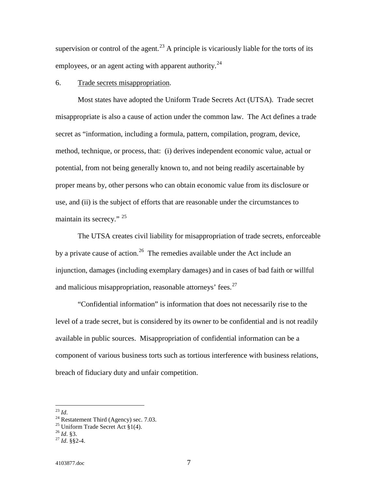supervision or control of the agent.<sup>[23](#page-6-0)</sup> A principle is vicariously liable for the torts of its employees, or an agent acting with apparent authority.<sup>[24](#page-6-1)</sup>

#### 6. Trade secrets misappropriation.

Most states have adopted the Uniform Trade Secrets Act (UTSA). Trade secret misappropriate is also a cause of action under the common law. The Act defines a trade secret as "information, including a formula, pattern, compilation, program, device, method, technique, or process, that: (i) derives independent economic value, actual or potential, from not being generally known to, and not being readily ascertainable by proper means by, other persons who can obtain economic value from its disclosure or use, and (ii) is the subject of efforts that are reasonable under the circumstances to maintain its secrecy." <sup>[25](#page-6-2)</sup>

The UTSA creates civil liability for misappropriation of trade secrets, enforceable by a private cause of action.<sup>[26](#page-6-3)</sup> The remedies available under the Act include an injunction, damages (including exemplary damages) and in cases of bad faith or willful and malicious misappropriation, reasonable attorneys' fees.<sup>[27](#page-6-4)</sup>

"Confidential information" is information that does not necessarily rise to the level of a trade secret, but is considered by its owner to be confidential and is not readily available in public sources. Misappropriation of confidential information can be a component of various business torts such as tortious interference with business relations, breach of fiduciary duty and unfair competition.

<span id="page-6-3"></span>

<span id="page-6-1"></span><span id="page-6-0"></span><sup>&</sup>lt;sup>23</sup> *Id.* <sup>24</sup> Restatement Third (Agency) sec. 7.03.<br><sup>25</sup> Uniform Trade Secret Act §1(4). <sup>26</sup> *Id*. §3. <sup>27</sup> *Id.* §§2-4.

<span id="page-6-2"></span>

<span id="page-6-4"></span>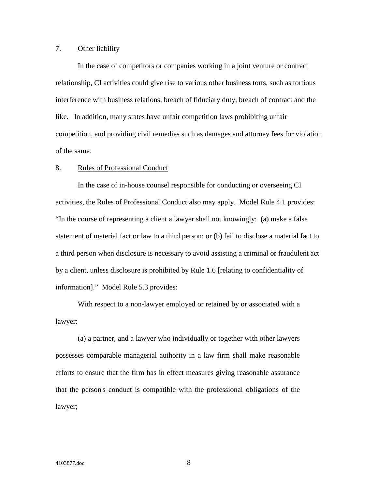#### 7. Other liability

In the case of competitors or companies working in a joint venture or contract relationship, CI activities could give rise to various other business torts, such as tortious interference with business relations, breach of fiduciary duty, breach of contract and the like. In addition, many states have unfair competition laws prohibiting unfair competition, and providing civil remedies such as damages and attorney fees for violation of the same.

#### 8. Rules of Professional Conduct

In the case of in-house counsel responsible for conducting or overseeing CI activities, the Rules of Professional Conduct also may apply. Model Rule 4.1 provides: "In the course of representing a client a lawyer shall not knowingly: (a) make a false statement of material fact or law to a third person; or (b) fail to disclose a material fact to a third person when disclosure is necessary to avoid assisting a criminal or fraudulent act by a client, unless disclosure is prohibited by Rule 1.6 [relating to confidentiality of information]." Model Rule 5.3 provides:

With respect to a non-lawyer employed or retained by or associated with a lawyer:

(a) a partner, and a lawyer who individually or together with other lawyers possesses comparable managerial authority in a law firm shall make reasonable efforts to ensure that the firm has in effect measures giving reasonable assurance that the person's conduct is compatible with the professional obligations of the lawyer;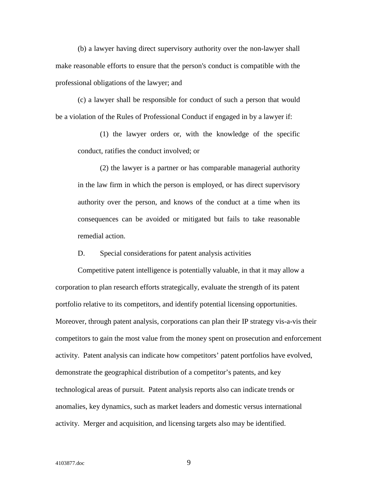(b) a lawyer having direct supervisory authority over the non-lawyer shall make reasonable efforts to ensure that the person's conduct is compatible with the professional obligations of the lawyer; and

(c) a lawyer shall be responsible for conduct of such a person that would be a violation of the Rules of Professional Conduct if engaged in by a lawyer if:

(1) the lawyer orders or, with the knowledge of the specific conduct, ratifies the conduct involved; or

(2) the lawyer is a partner or has comparable managerial authority in the law firm in which the person is employed, or has direct supervisory authority over the person, and knows of the conduct at a time when its consequences can be avoided or mitigated but fails to take reasonable remedial action.

D. Special considerations for patent analysis activities

Competitive patent intelligence is potentially valuable, in that it may allow a corporation to plan research efforts strategically, evaluate the strength of its patent portfolio relative to its competitors, and identify potential licensing opportunities. Moreover, through patent analysis, corporations can plan their IP strategy vis-a-vis their competitors to gain the most value from the money spent on prosecution and enforcement activity. Patent analysis can indicate how competitors' patent portfolios have evolved, demonstrate the geographical distribution of a competitor's patents, and key technological areas of pursuit. Patent analysis reports also can indicate trends or anomalies, key dynamics, such as market leaders and domestic versus international activity. Merger and acquisition, and licensing targets also may be identified.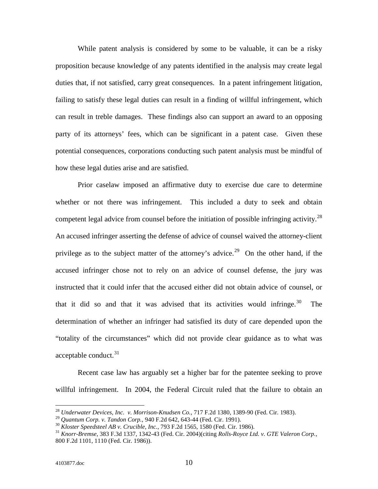While patent analysis is considered by some to be valuable, it can be a risky proposition because knowledge of any patents identified in the analysis may create legal duties that, if not satisfied, carry great consequences. In a patent infringement litigation, failing to satisfy these legal duties can result in a finding of willful infringement, which can result in treble damages. These findings also can support an award to an opposing party of its attorneys' fees, which can be significant in a patent case. Given these potential consequences, corporations conducting such patent analysis must be mindful of how these legal duties arise and are satisfied.

Prior caselaw imposed an affirmative duty to exercise due care to determine whether or not there was infringement. This included a duty to seek and obtain competent legal advice from counsel before the initiation of possible infringing activity.<sup>[28](#page-9-0)</sup> An accused infringer asserting the defense of advice of counsel waived the attorney-client privilege as to the subject matter of the attorney's advice.<sup>29</sup> On the other hand, if the accused infringer chose not to rely on an advice of counsel defense, the jury was instructed that it could infer that the accused either did not obtain advice of counsel, or that it did so and that it was advised that its activities would infringe.<sup>[30](#page-9-2)</sup> The determination of whether an infringer had satisfied its duty of care depended upon the "totality of the circumstances" which did not provide clear guidance as to what was acceptable conduct.<sup>[31](#page-9-3)</sup>

Recent case law has arguably set a higher bar for the patentee seeking to prove willful infringement. In 2004, the Federal Circuit ruled that the failure to obtain an

<span id="page-9-0"></span><sup>&</sup>lt;sup>28</sup> *Underwater Devices, Inc. v. Morrison-Knudsen Co.*, 717 F.2d 1380, 1389-90 (Fed. Cir. 1983).<br><sup>29</sup> Quantum Corp. v. Tandon Corp., 940 F.2d 642, 643-44 (Fed. Cir. 1991).

<span id="page-9-1"></span>

<span id="page-9-3"></span><span id="page-9-2"></span> $^{30}$  Kloster Speedsteel AB v. Crucible, Inc., 793 F.2d 1565, 1580 (Fed. Cir. 1986).<br> $^{31}$  Knorr-Bremse, 383 F.3d 1337, 1342-43 (Fed. Cir. 2004)(citing Rolls-Royce Ltd. v. GTE Valeron Corp., 800 F.2d 1101, 1110 (Fed. Cir. 1986)).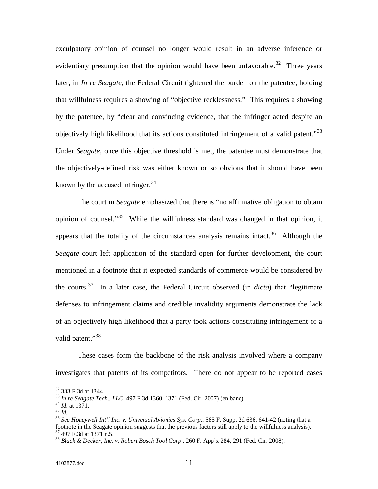exculpatory opinion of counsel no longer would result in an adverse inference or evidentiary presumption that the opinion would have been unfavorable.<sup>32</sup> Three years later, in *In re Seagate*, the Federal Circuit tightened the burden on the patentee, holding that willfulness requires a showing of "objective recklessness." This requires a showing by the patentee, by "clear and convincing evidence, that the infringer acted despite an objectively high likelihood that its actions constituted infringement of a valid patent."<sup>[33](#page-10-1)</sup> Under *Seagate,* once this objective threshold is met, the patentee must demonstrate that the objectively-defined risk was either known or so obvious that it should have been known by the accused infringer. $34$ 

The court in *Seagate* emphasized that there is "no affirmative obligation to obtain opinion of counsel."<sup>35</sup> While the willfulness standard was changed in that opinion, it appears that the totality of the circumstances analysis remains intact.<sup>[36](#page-10-4)</sup> Although the *Seagate* court left application of the standard open for further development, the court mentioned in a footnote that it expected standards of commerce would be considered by the courts.<sup>[37](#page-10-5)</sup> In a later case, the Federal Circuit observed (in *dicta*) that "legitimate defenses to infringement claims and credible invalidity arguments demonstrate the lack of an objectively high likelihood that a party took actions constituting infringement of a valid patent."<sup>[38](#page-10-6)</sup>

These cases form the backbone of the risk analysis involved where a company investigates that patents of its competitors. There do not appear to be reported cases

<span id="page-10-1"></span><span id="page-10-0"></span><sup>&</sup>lt;sup>32</sup> 383 F.3d at 1344.<br><sup>33</sup> In re Seagate Tech., LLC, 497 F.3d 1360, 1371 (Fed. Cir. 2007) (en banc).<br><sup>34</sup> Id. at 1371.<br><sup>35</sup> Id.<br><sup>36</sup> See Honeywell Int'l Inc. v. Universal Avionics Sys. Corp., 585 F. Supp. 2d 636, 641-42

<span id="page-10-2"></span>

<span id="page-10-4"></span><span id="page-10-3"></span>footnote in the Seagate opinion suggests that the previous factors still apply to the willfulness analysis).<br><sup>37</sup> 497 F.3d at 1371 n.5.

<span id="page-10-6"></span><span id="page-10-5"></span><sup>&</sup>lt;sup>38</sup> Black & Decker, Inc. v. Robert Bosch Tool Corp., 260 F. App'x 284, 291 (Fed. Cir. 2008).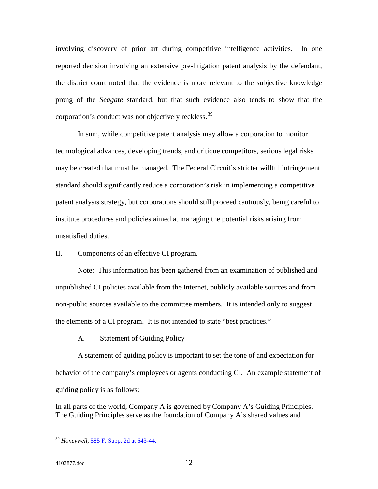involving discovery of prior art during competitive intelligence activities. In one reported decision involving an extensive pre-litigation patent analysis by the defendant, the district court noted that the evidence is more relevant to the subjective knowledge prong of the *Seagate* standard, but that such evidence also tends to show that the corporation's conduct was not objectively reckless.<sup>[39](#page-11-0)</sup>

In sum, while competitive patent analysis may allow a corporation to monitor technological advances, developing trends, and critique competitors, serious legal risks may be created that must be managed. The Federal Circuit's stricter willful infringement standard should significantly reduce a corporation's risk in implementing a competitive patent analysis strategy, but corporations should still proceed cautiously, being careful to institute procedures and policies aimed at managing the potential risks arising from unsatisfied duties.

II. Components of an effective CI program.

Note: This information has been gathered from an examination of published and unpublished CI policies available from the Internet, publicly available sources and from non-public sources available to the committee members. It is intended only to suggest the elements of a CI program. It is not intended to state "best practices."

A. Statement of Guiding Policy

A statement of guiding policy is important to set the tone of and expectation for behavior of the company's employees or agents conducting CI. An example statement of guiding policy is as follows:

In all parts of the world, Company A is governed by Company A's Guiding Principles. The Guiding Principles serve as the foundation of Company A's shared values and

<span id="page-11-0"></span> <sup>39</sup> *Honeywell,* 585 F. Supp. 2d at 643-44.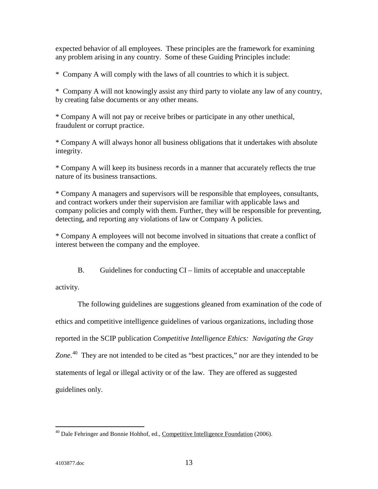expected behavior of all employees. These principles are the framework for examining any problem arising in any country. Some of these Guiding Principles include:

\* Company A will comply with the laws of all countries to which it is subject.

\* Company A will not knowingly assist any third party to violate any law of any country, by creating false documents or any other means.

\* Company A will not pay or receive bribes or participate in any other unethical, fraudulent or corrupt practice.

\* Company A will always honor all business obligations that it undertakes with absolute integrity.

\* Company A will keep its business records in a manner that accurately reflects the true nature of its business transactions.

\* Company A managers and supervisors will be responsible that employees, consultants, and contract workers under their supervision are familiar with applicable laws and company policies and comply with them. Further, they will be responsible for preventing, detecting, and reporting any violations of law or Company A policies.

\* Company A employees will not become involved in situations that create a conflict of interest between the company and the employee.

B. Guidelines for conducting CI – limits of acceptable and unacceptable

activity.

The following guidelines are suggestions gleaned from examination of the code of ethics and competitive intelligence guidelines of various organizations, including those reported in the SCIP publication *Competitive Intelligence Ethics: Navigating the Gray*  Zone.<sup>[40](#page-12-0)</sup> They are not intended to be cited as "best practices," nor are they intended to be statements of legal or illegal activity or of the law. They are offered as suggested guidelines only.

<span id="page-12-0"></span> $^{40}$  Dale Fehringer and Bonnie Hohhof, ed., Competitive Intelligence Foundation (2006).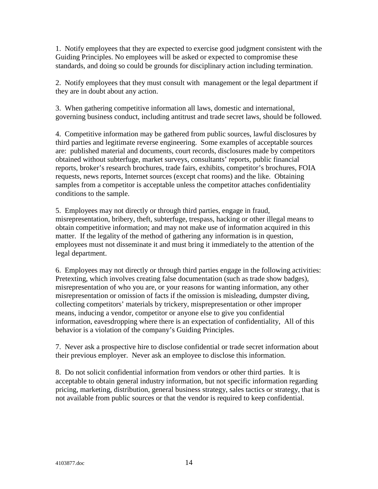1. Notify employees that they are expected to exercise good judgment consistent with the Guiding Principles. No employees will be asked or expected to compromise these standards, and doing so could be grounds for disciplinary action including termination.

2. Notify employees that they must consult with management or the legal department if they are in doubt about any action.

3. When gathering competitive information all laws, domestic and international, governing business conduct, including antitrust and trade secret laws, should be followed.

4. Competitive information may be gathered from public sources, lawful disclosures by third parties and legitimate reverse engineering. Some examples of acceptable sources are: published material and documents, court records, disclosures made by competitors obtained without subterfuge, market surveys, consultants' reports, public financial reports, broker's research brochures, trade fairs, exhibits, competitor's brochures, FOIA requests, news reports, Internet sources (except chat rooms) and the like. Obtaining samples from a competitor is acceptable unless the competitor attaches confidentiality conditions to the sample.

5. Employees may not directly or through third parties, engage in fraud, misrepresentation, bribery, theft, subterfuge, trespass, hacking or other illegal means to obtain competitive information; and may not make use of information acquired in this matter. If the legality of the method of gathering any information is in question, employees must not disseminate it and must bring it immediately to the attention of the legal department.

6. Employees may not directly or through third parties engage in the following activities: Pretexting, which involves creating false documentation (such as trade show badges), misrepresentation of who you are, or your reasons for wanting information, any other misrepresentation or omission of facts if the omission is misleading, dumpster diving, collecting competitors' materials by trickery, misprepresentation or other improper means, inducing a vendor, competitor or anyone else to give you confidential information, eavesdropping where there is an expectation of confidentiality, All of this behavior is a violation of the company's Guiding Principles.

7. Never ask a prospective hire to disclose confidential or trade secret information about their previous employer. Never ask an employee to disclose this information.

8. Do not solicit confidential information from vendors or other third parties. It is acceptable to obtain general industry information, but not specific information regarding pricing, marketing, distribution, general business strategy, sales tactics or strategy, that is not available from public sources or that the vendor is required to keep confidential.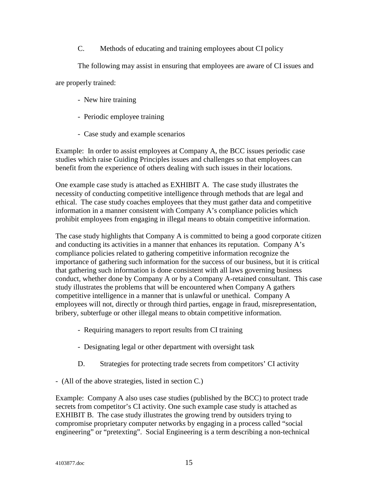C. Methods of educating and training employees about CI policy

The following may assist in ensuring that employees are aware of CI issues and

are properly trained:

- New hire training
- Periodic employee training
- Case study and example scenarios

Example: In order to assist employees at Company A, the BCC issues periodic case studies which raise Guiding Principles issues and challenges so that employees can benefit from the experience of others dealing with such issues in their locations.

One example case study is attached as EXHIBIT A. The case study illustrates the necessity of conducting competitive intelligence through methods that are legal and ethical. The case study coaches employees that they must gather data and competitive information in a manner consistent with Company A's compliance policies which prohibit employees from engaging in illegal means to obtain competitive information.

The case study highlights that Company A is committed to being a good corporate citizen and conducting its activities in a manner that enhances its reputation. Company A's compliance policies related to gathering competitive information recognize the importance of gathering such information for the success of our business, but it is critical that gathering such information is done consistent with all laws governing business conduct, whether done by Company A or by a Company A-retained consultant. This case study illustrates the problems that will be encountered when Company A gathers competitive intelligence in a manner that is unlawful or unethical. Company A employees will not, directly or through third parties, engage in fraud, misrepresentation, bribery, subterfuge or other illegal means to obtain competitive information.

- Requiring managers to report results from CI training
- Designating legal or other department with oversight task
- D. Strategies for protecting trade secrets from competitors' CI activity

- (All of the above strategies, listed in section C.)

Example: Company A also uses case studies (published by the BCC) to protect trade secrets from competitor's CI activity. One such example case study is attached as EXHIBIT B. The case study illustrates the growing trend by outsiders trying to compromise proprietary computer networks by engaging in a process called "social engineering" or "pretexting". Social Engineering is a term describing a non-technical